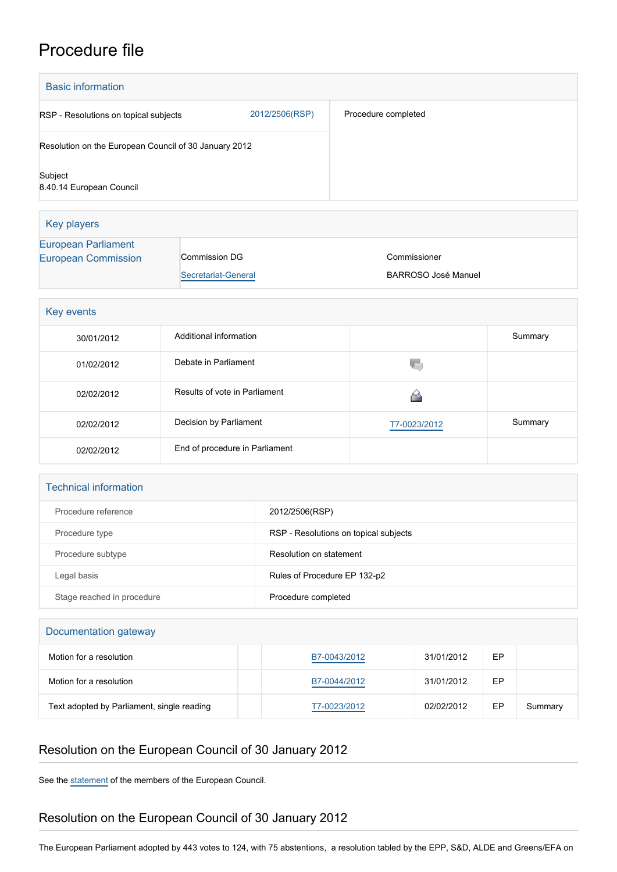## Procedure file

| <b>Basic information</b>                                 |                                      |                                       |                                            |         |  |  |
|----------------------------------------------------------|--------------------------------------|---------------------------------------|--------------------------------------------|---------|--|--|
| RSP - Resolutions on topical subjects                    |                                      | 2012/2506(RSP)                        | Procedure completed                        |         |  |  |
| Resolution on the European Council of 30 January 2012    |                                      |                                       |                                            |         |  |  |
| Subject<br>8.40.14 European Council                      |                                      |                                       |                                            |         |  |  |
| <b>Key players</b>                                       |                                      |                                       |                                            |         |  |  |
| <b>European Parliament</b><br><b>European Commission</b> | Commission DG<br>Secretariat-General |                                       | Commissioner<br><b>BARROSO José Manuel</b> |         |  |  |
| Key events                                               |                                      |                                       |                                            |         |  |  |
| 30/01/2012                                               | Additional information               |                                       |                                            | Summary |  |  |
| 01/02/2012                                               | Debate in Parliament                 |                                       | T.                                         |         |  |  |
| 02/02/2012                                               | Results of vote in Parliament        |                                       | 省                                          |         |  |  |
| 02/02/2012                                               | Decision by Parliament               |                                       | T7-0023/2012                               | Summary |  |  |
| 02/02/2012                                               | End of procedure in Parliament       |                                       |                                            |         |  |  |
| <b>Technical information</b>                             |                                      |                                       |                                            |         |  |  |
| Procedure reference                                      |                                      | 2012/2506(RSP)                        |                                            |         |  |  |
| Procedure type                                           |                                      | RSP - Resolutions on topical subjects |                                            |         |  |  |
| Procedure subtype                                        |                                      | Resolution on statement               |                                            |         |  |  |

| Stage reached in procedure | Procedure completed |            |    |  |  |
|----------------------------|---------------------|------------|----|--|--|
| Documentation gateway      |                     |            |    |  |  |
| Motion for a resolution    | B7-0043/2012        | 31/01/2012 | EP |  |  |
| Motion for a resolution    | B7-0044/2012        | 31/01/2012 | EP |  |  |

Text adopted by Parliament, single reading [T7-0023/2012](https://www.europarl.europa.eu/doceo/document/TA-7-2012-0023_EN.html) 02/02/2012 EP Summary

## Resolution on the European Council of 30 January 2012

Legal basis **Rules of Procedure EP 132-p2** Rules of Procedure EP 132-p2

See the [statement](http://www.consilium.europa.eu/uedocs/cms_data/docs/pressdata/en/ec/127599.pdf) of the members of the European Council.

## Resolution on the European Council of 30 January 2012

The European Parliament adopted by 443 votes to 124, with 75 abstentions, a resolution tabled by the EPP, S&D, ALDE and Greens/EFA on